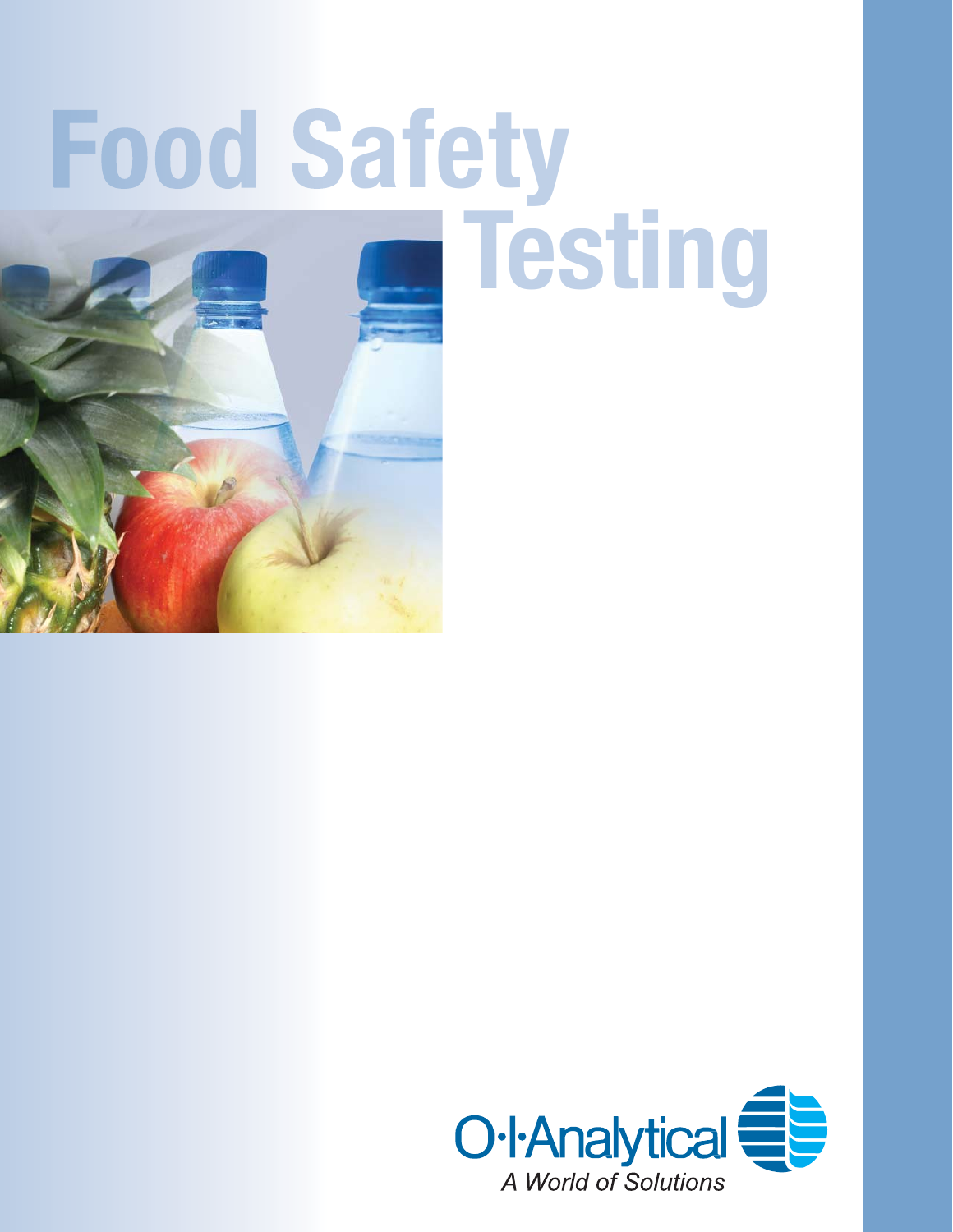# **Food Safety Testing**

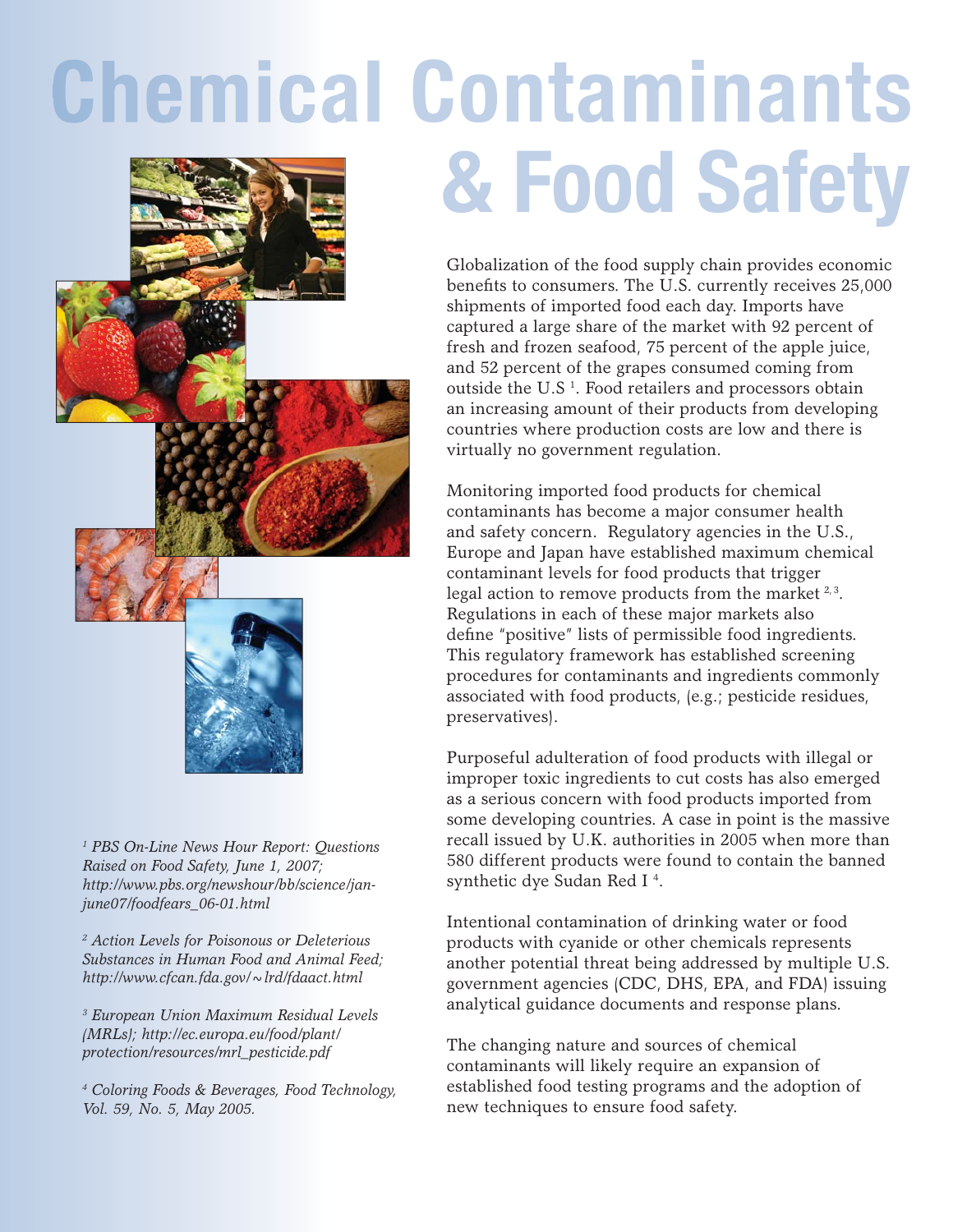## **Chemical Contaminants & Food Safety**

Globalization of the food supply chain provides economic benefits to consumers. The U.S. currently receives 25,000 shipments of imported food each day. Imports have captured a large share of the market with 92 percent of fresh and frozen seafood, 75 percent of the apple juice, and 52 percent of the grapes consumed coming from outside the U.S<sup> $1$ </sup>. Food retailers and processors obtain an increasing amount of their products from developing countries where production costs are low and there is virtually no government regulation.

Monitoring imported food products for chemical contaminants has become a major consumer health and safety concern. Regulatory agencies in the U.S., Europe and Japan have established maximum chemical contaminant levels for food products that trigger legal action to remove products from the market  $2,3$ . Regulations in each of these major markets also define "positive" lists of permissible food ingredients. This regulatory framework has established screening procedures for contaminants and ingredients commonly associated with food products, (e.g.; pesticide residues, preservatives).

Purposeful adulteration of food products with illegal or improper toxic ingredients to cut costs has also emerged as a serious concern with food products imported from some developing countries. A case in point is the massive recall issued by U.K. authorities in 2005 when more than 580 different products were found to contain the banned synthetic dye Sudan Red I 4 .

Intentional contamination of drinking water or food products with cyanide or other chemicals represents another potential threat being addressed by multiple U.S. government agencies (CDC, DHS, EPA, and FDA) issuing analytical guidance documents and response plans.

The changing nature and sources of chemical contaminants will likely require an expansion of established food testing programs and the adoption of new techniques to ensure food safety.

*1 PBS On-Line News Hour Report: Questions Raised on Food Safety, June 1, 2007; http://www.pbs.org/newshour/bb/science/janjune07/foodfears\_06-01.html*

*2 Action Levels for Poisonous or Deleterious Substances in Human Food and Animal Feed; http://www.cfcan.fda.gov/~lrd/fdaact.html*

*3 European Union Maximum Residual Levels (MRLs); http://ec.europa.eu/food/plant/ protection/resources/mrl\_pesticide.pdf*

*4 Coloring Foods & Beverages, Food Technology, Vol. 59, No. 5, May 2005.*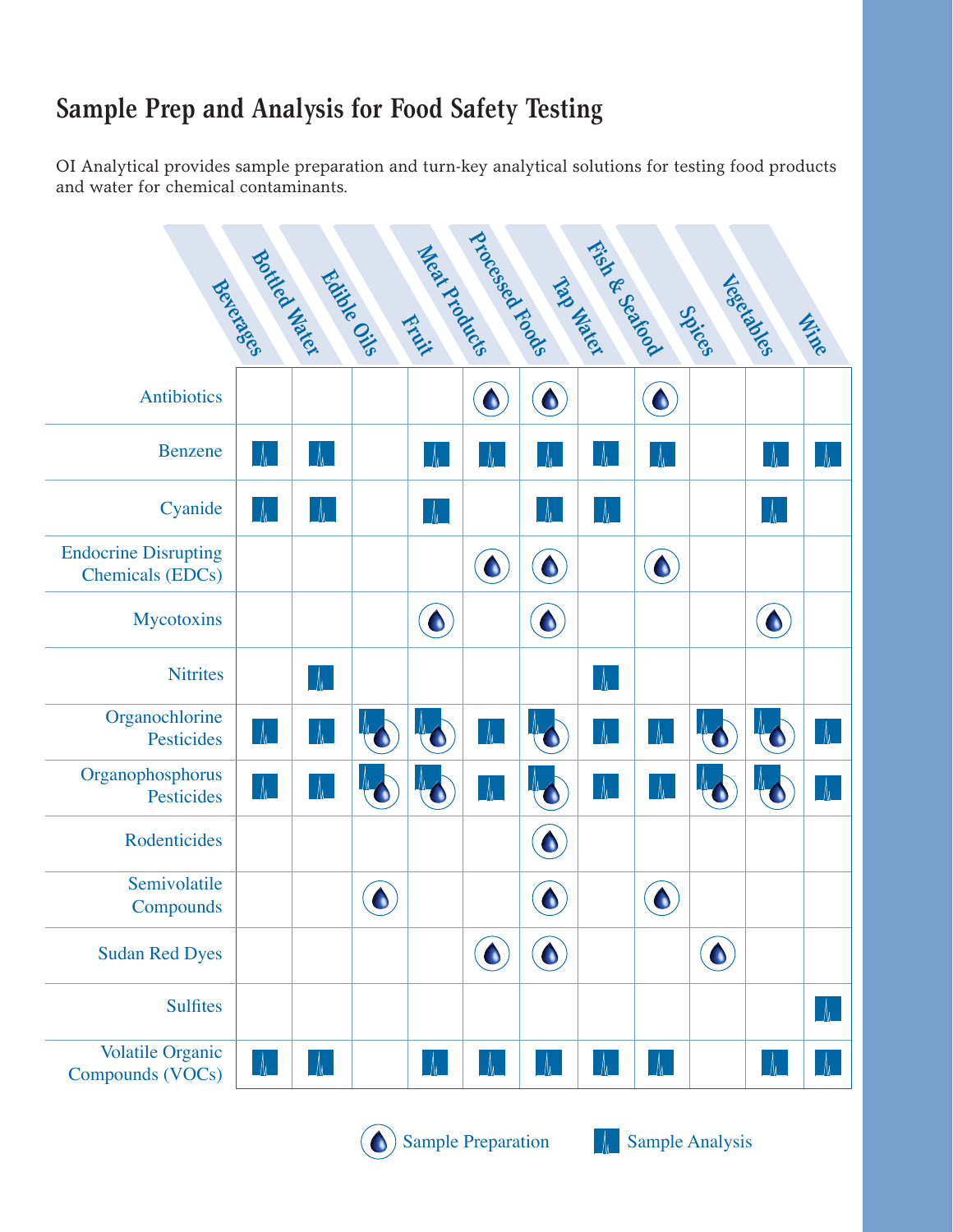#### **Sample Prep and Analysis for Food Safety Testing**

OI Analytical provides sample preparation and turn-key analytical solutions for testing food products and water for chemical contaminants.